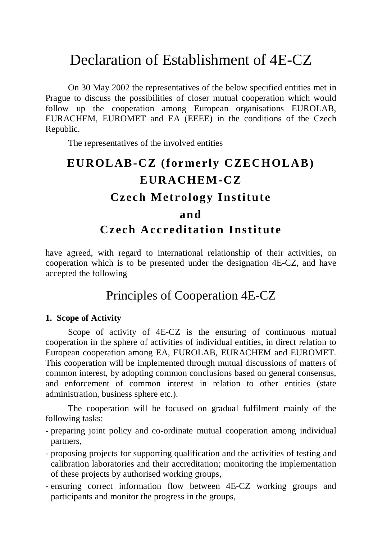# Declaration of Establishment of 4E-CZ

On 30 May 2002 the representatives of the below specified entities met in Prague to discuss the possibilities of closer mutual cooperation which would follow up the cooperation among European organisations EUROLAB, EURACHEM, EUROMET and EA (EEEE) in the conditions of the Czech Republic.

The representatives of the involved entities

# $EUROLAB-{\bf CZ}$  (formerly  $CZECHOLAB$ ) **EURACHEM-CZ Cz ech Met rology Institut e and Cz ech Acc reditation Institute**

have agreed, with regard to international relationship of their activities, on cooperation which is to be presented under the designation 4E-CZ, and have accepted the following

## Principles of Cooperation 4E-CZ

#### **1. Scope of Activity**

Scope of activity of 4E-CZ is the ensuring of continuous mutual cooperation in the sphere of activities of individual entities, in direct relation to European cooperation among EA, EUROLAB, EURACHEM and EUROMET. This cooperation will be implemented through mutual discussions of matters of common interest, by adopting common conclusions based on general consensus, and enforcement of common interest in relation to other entities (state administration, business sphere etc.).

The cooperation will be focused on gradual fulfilment mainly of the following tasks:

- preparing joint policy and co-ordinate mutual cooperation among individual partners,
- proposing projects for supporting qualification and the activities of testing and calibration laboratories and their accreditation; monitoring the implementation of these projects by authorised working groups,
- ensuring correct information flow between 4E-CZ working groups and participants and monitor the progress in the groups,